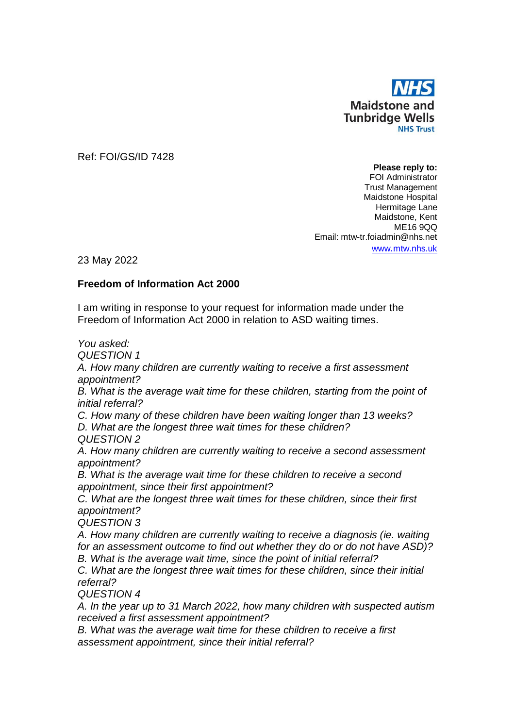

Ref: FOI/GS/ID 7428

**Please reply to:** FOI Administrator Trust Management Maidstone Hospital Hermitage Lane Maidstone, Kent ME16 9QQ Email: mtw-tr.foiadmin@nhs.net www.[mtw.nhs.uk](http://www.mtw.nhs.uk/)

23 May 2022

## **Freedom of Information Act 2000**

I am writing in response to your request for information made under the Freedom of Information Act 2000 in relation to ASD waiting times.

*You asked:*

*QUESTION 1*

*A. How many children are currently waiting to receive a first assessment appointment?* 

**B.** What is the average wait time for these children, starting from the point of *initial referral?* 

*C. How many of these children have been waiting longer than 13 weeks?* 

*D. What are the longest three wait times for these children?*

*QUESTION 2*

*A. How many children are currently waiting to receive a second assessment appointment?* 

*B. What is the average wait time for these children to receive a second appointment, since their first appointment?* 

*C. What are the longest three wait times for these children, since their first appointment?* 

*QUESTION 3*

*A. How many children are currently waiting to receive a diagnosis (ie. waiting for an assessment outcome to find out whether they do or do not have ASD)? B. What is the average wait time, since the point of initial referral?* 

*C. What are the longest three wait times for these children, since their initial referral?*

*QUESTION 4*

*A. In the year up to 31 March 2022, how many children with suspected autism received a first assessment appointment?* 

*B. What was the average wait time for these children to receive a first assessment appointment, since their initial referral?*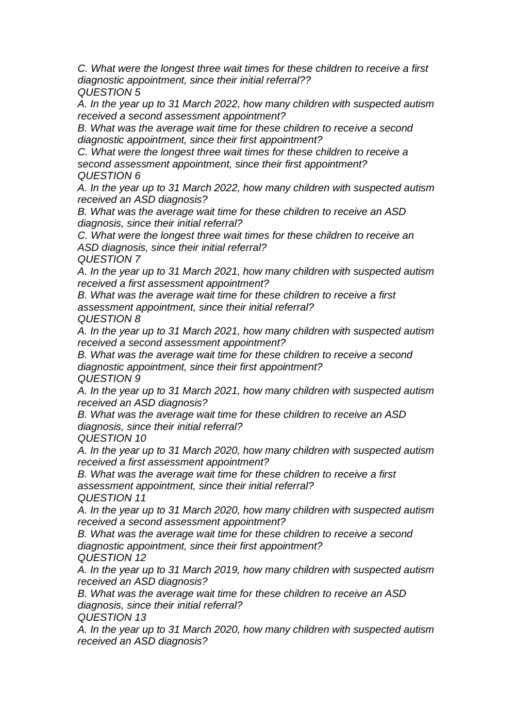*C. What were the longest three wait times for these children to receive a first diagnostic appointment, since their initial referral?? QUESTION 5*

*A. In the year up to 31 March 2022, how many children with suspected autism received a second assessment appointment?*

*B. What was the average wait time for these children to receive a second diagnostic appointment, since their first appointment?* 

*C. What were the longest three wait times for these children to receive a second assessment appointment, since their first appointment?* 

*QUESTION 6*

*A. In the year up to 31 March 2022, how many children with suspected autism received an ASD diagnosis?* 

*B. What was the average wait time for these children to receive an ASD diagnosis, since their initial referral?* 

*C. What were the longest three wait times for these children to receive an ASD diagnosis, since their initial referral?* 

*QUESTION 7*

*A. In the year up to 31 March 2021, how many children with suspected autism received a first assessment appointment?* 

*B. What was the average wait time for these children to receive a first assessment appointment, since their initial referral? QUESTION 8*

*A. In the year up to 31 March 2021, how many children with suspected autism received a second assessment appointment?*

*B. What was the average wait time for these children to receive a second diagnostic appointment, since their first appointment? QUESTION 9*

*A. In the year up to 31 March 2021, how many children with suspected autism received an ASD diagnosis?* 

*B. What was the average wait time for these children to receive an ASD diagnosis, since their initial referral?* 

*QUESTION 10*

*A. In the year up to 31 March 2020, how many children with suspected autism received a first assessment appointment?* 

*B. What was the average wait time for these children to receive a first assessment appointment, since their initial referral? QUESTION 11*

*A. In the year up to 31 March 2020, how many children with suspected autism received a second assessment appointment?*

*B. What was the average wait time for these children to receive a second diagnostic appointment, since their first appointment?* 

*QUESTION 12*

*A. In the year up to 31 March 2019, how many children with suspected autism received an ASD diagnosis?* 

*B. What was the average wait time for these children to receive an ASD diagnosis, since their initial referral?*

*QUESTION 13*

*A. In the year up to 31 March 2020, how many children with suspected autism received an ASD diagnosis?*